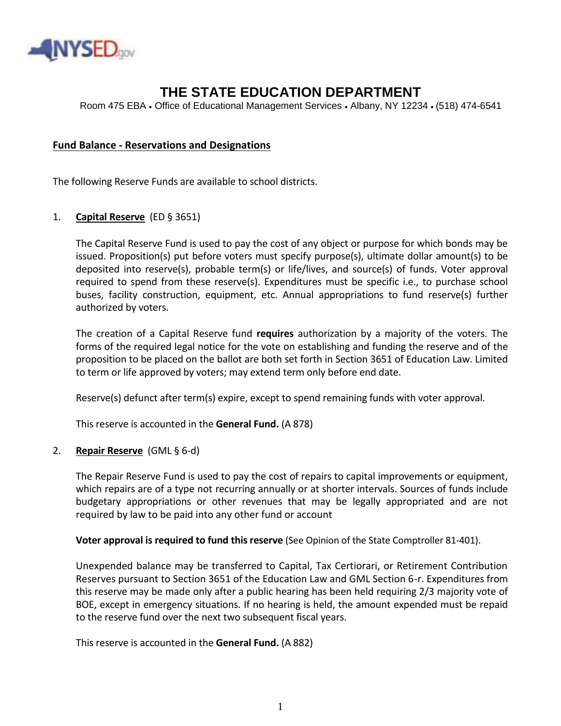

# **THE STATE EDUCATION DEPARTMENT**

Room 475 EBA • Office of Educational Management Services • Albany, NY 12234 • (518) 474-6541

# **Fund Balance - Reservations and Designations**

The following Reserve Funds are available to school districts.

### 1. **Capital Reserve** (ED § 3651)

The Capital Reserve Fund is used to pay the cost of any object or purpose for which bonds may be issued. Proposition(s) put before voters must specify purpose(s), ultimate dollar amount(s) to be deposited into reserve(s), probable term(s) or life/lives, and source(s) of funds. Voter approval required to spend from these reserve(s). Expenditures must be specific i.e., to purchase school buses, facility construction, equipment, etc. Annual appropriations to fund reserve(s) further authorized by voters.

The creation of a Capital Reserve fund **requires** authorization by a majority of the voters. The forms of the required legal notice for the vote on establishing and funding the reserve and of the proposition to be placed on the ballot are both set forth in Section 3651 of Education Law. Limited to term or life approved by voters; may extend term only before end date.

Reserve(s) defunct after term(s) expire, except to spend remaining funds with voter approval.

This reserve is accounted in the **General Fund.** (A 878)

#### 2. **Repair Reserve** (GML § 6-d)

The Repair Reserve Fund is used to pay the cost of repairs to capital improvements or equipment, which repairs are of a type not recurring annually or at shorter intervals. Sources of funds include budgetary appropriations or other revenues that may be legally appropriated and are not required by law to be paid into any other fund or account

#### **Voter approval is required to fund this reserve** (See Opinion of the State Comptroller 81-401).

Unexpended balance may be transferred to Capital, Tax Certiorari, or Retirement Contribution Reserves pursuant to Section 3651 of the Education Law and GML Section 6-r. Expenditures from this reserve may be made only after a public hearing has been held requiring 2/3 majority vote of BOE, except in emergency situations. If no hearing is held, the amount expended must be repaid to the reserve fund over the next two subsequent fiscal years.

This reserve is accounted in the **General Fund.** (A 882)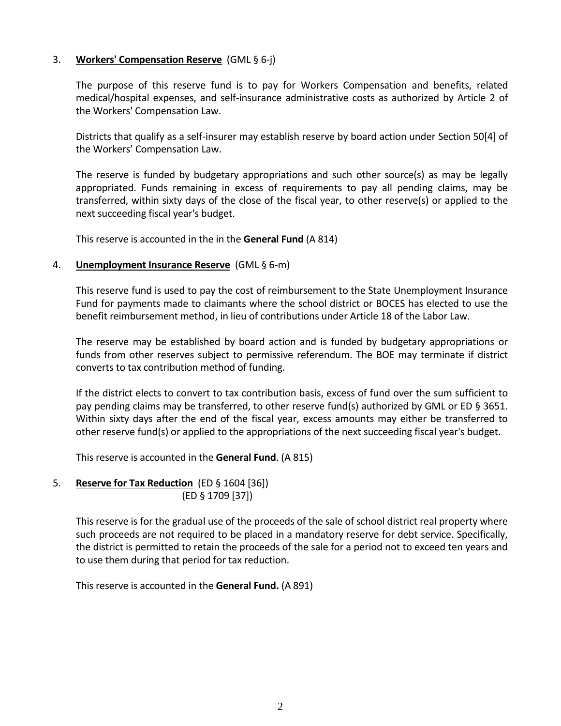# 3. **Workers' Compensation Reserve** (GML § 6-j)

The purpose of this reserve fund is to pay for Workers Compensation and benefits, related medical/hospital expenses, and self-insurance administrative costs as authorized by Article 2 of the Workers' Compensation Law.

Districts that qualify as a self-insurer may establish reserve by board action under Section 50[4] of the Workers' Compensation Law.

The reserve is funded by budgetary appropriations and such other source(s) as may be legally appropriated. Funds remaining in excess of requirements to pay all pending claims, may be transferred, within sixty days of the close of the fiscal year, to other reserve(s) or applied to the next succeeding fiscal year's budget.

This reserve is accounted in the in the **General Fund** (A 814)

# 4. **Unemployment Insurance Reserve** (GML § 6-m)

This reserve fund is used to pay the cost of reimbursement to the State Unemployment Insurance Fund for payments made to claimants where the school district or BOCES has elected to use the benefit reimbursement method, in lieu of contributions under Article 18 of the Labor Law.

The reserve may be established by board action and is funded by budgetary appropriations or funds from other reserves subject to permissive referendum. The BOE may terminate if district converts to tax contribution method of funding.

If the district elects to convert to tax contribution basis, excess of fund over the sum sufficient to pay pending claims may be transferred, to other reserve fund(s) authorized by GML or ED § 3651. Within sixty days after the end of the fiscal year, excess amounts may either be transferred to other reserve fund(s) or applied to the appropriations of the next succeeding fiscal year's budget.

This reserve is accounted in the **General Fund**. (A 815)

# 5. **Reserve for Tax Reduction** (ED § 1604 [36]) (ED § 1709 [37])

This reserve is for the gradual use of the proceeds of the sale of school district real property where such proceeds are not required to be placed in a mandatory reserve for debt service. Specifically, the district is permitted to retain the proceeds of the sale for a period not to exceed ten years and to use them during that period for tax reduction.

This reserve is accounted in the **General Fund.** (A 891)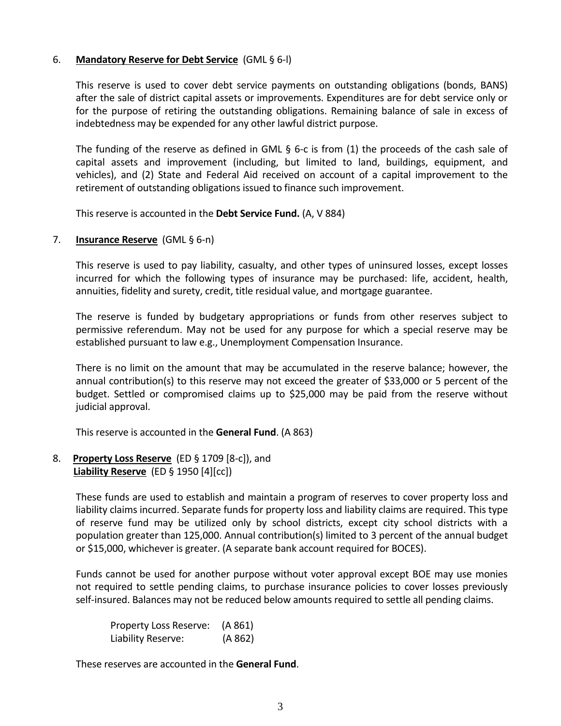# 6. **Mandatory Reserve for Debt Service** (GML § 6-l)

This reserve is used to cover debt service payments on outstanding obligations (bonds, BANS) after the sale of district capital assets or improvements. Expenditures are for debt service only or for the purpose of retiring the outstanding obligations. Remaining balance of sale in excess of indebtedness may be expended for any other lawful district purpose.

The funding of the reserve as defined in GML § 6-c is from (1) the proceeds of the cash sale of capital assets and improvement (including, but limited to land, buildings, equipment, and vehicles), and (2) State and Federal Aid received on account of a capital improvement to the retirement of outstanding obligations issued to finance such improvement.

This reserve is accounted in the **Debt Service Fund.** (A, V 884)

7. **Insurance Reserve** (GML § 6-n)

This reserve is used to pay liability, casualty, and other types of uninsured losses, except losses incurred for which the following types of insurance may be purchased: life, accident, health, annuities, fidelity and surety, credit, title residual value, and mortgage guarantee.

The reserve is funded by budgetary appropriations or funds from other reserves subject to permissive referendum. May not be used for any purpose for which a special reserve may be established pursuant to law e.g., Unemployment Compensation Insurance.

There is no limit on the amount that may be accumulated in the reserve balance; however, the annual contribution(s) to this reserve may not exceed the greater of \$33,000 or 5 percent of the budget. Settled or compromised claims up to \$25,000 may be paid from the reserve without judicial approval.

This reserve is accounted in the **General Fund**. (A 863)

8. **Property Loss Reserve** (ED § 1709 [8-c]), and **Liability Reserve** (ED § 1950 [4][cc])

> These funds are used to establish and maintain a program of reserves to cover property loss and liability claims incurred. Separate funds for property loss and liability claims are required. This type of reserve fund may be utilized only by school districts, except city school districts with a population greater than 125,000. Annual contribution(s) limited to 3 percent of the annual budget or \$15,000, whichever is greater. (A separate bank account required for BOCES).

> Funds cannot be used for another purpose without voter approval except BOE may use monies not required to settle pending claims, to purchase insurance policies to cover losses previously self-insured. Balances may not be reduced below amounts required to settle all pending claims.

Property Loss Reserve: (A 861) Liability Reserve: (A 862)

These reserves are accounted in the **General Fund**.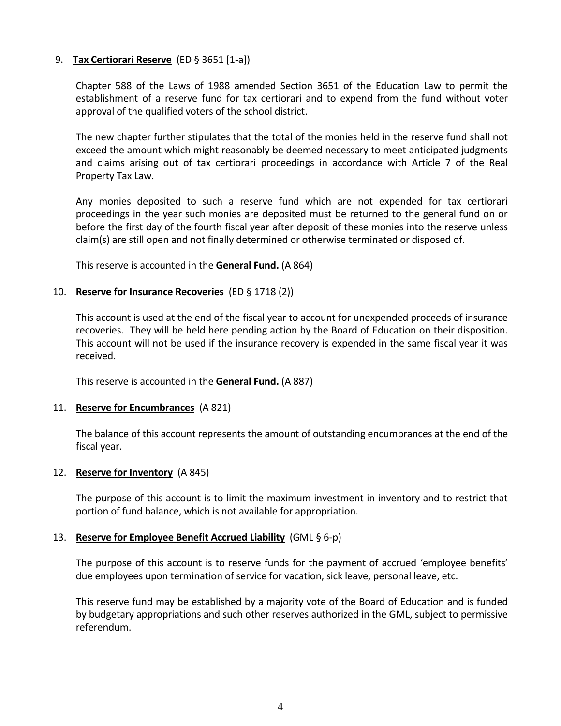# 9. **Tax Certiorari Reserve** (ED § 3651 [1-a])

Chapter 588 of the Laws of 1988 amended Section 3651 of the Education Law to permit the establishment of a reserve fund for tax certiorari and to expend from the fund without voter approval of the qualified voters of the school district.

The new chapter further stipulates that the total of the monies held in the reserve fund shall not exceed the amount which might reasonably be deemed necessary to meet anticipated judgments and claims arising out of tax certiorari proceedings in accordance with Article 7 of the Real Property Tax Law.

Any monies deposited to such a reserve fund which are not expended for tax certiorari proceedings in the year such monies are deposited must be returned to the general fund on or before the first day of the fourth fiscal year after deposit of these monies into the reserve unless claim(s) are still open and not finally determined or otherwise terminated or disposed of.

This reserve is accounted in the **General Fund.** (A 864)

# 10. **Reserve for Insurance Recoveries** (ED § 1718 (2))

This account is used at the end of the fiscal year to account for unexpended proceeds of insurance recoveries. They will be held here pending action by the Board of Education on their disposition. This account will not be used if the insurance recovery is expended in the same fiscal year it was received.

This reserve is accounted in the **General Fund.** (A 887)

# 11. **Reserve for Encumbrances** (A 821)

The balance of this account represents the amount of outstanding encumbrances at the end of the fiscal year.

#### 12. **Reserve for Inventory** (A 845)

The purpose of this account is to limit the maximum investment in inventory and to restrict that portion of fund balance, which is not available for appropriation.

#### 13. **Reserve for Employee Benefit Accrued Liability** (GML § 6-p)

The purpose of this account is to reserve funds for the payment of accrued 'employee benefits' due employees upon termination of service for vacation, sick leave, personal leave, etc.

This reserve fund may be established by a majority vote of the Board of Education and is funded by budgetary appropriations and such other reserves authorized in the GML, subject to permissive referendum.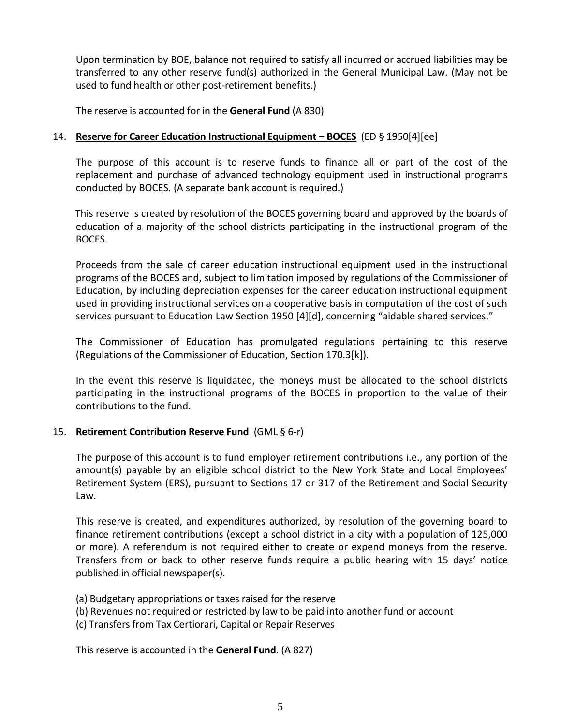Upon termination by BOE, balance not required to satisfy all incurred or accrued liabilities may be transferred to any other reserve fund(s) authorized in the General Municipal Law. (May not be used to fund health or other post-retirement benefits.)

The reserve is accounted for in the **General Fund** (A 830)

# 14. **Reserve for Career Education Instructional Equipment ‒ BOCES** (ED § 1950[4][ee]

The purpose of this account is to reserve funds to finance all or part of the cost of the replacement and purchase of advanced technology equipment used in instructional programs conducted by BOCES. (A separate bank account is required.)

 This reserve is created by resolution of the BOCES governing board and approved by the boards of education of a majority of the school districts participating in the instructional program of the BOCES.

Proceeds from the sale of career education instructional equipment used in the instructional programs of the BOCES and, subject to limitation imposed by regulations of the Commissioner of Education, by including depreciation expenses for the career education instructional equipment used in providing instructional services on a cooperative basis in computation of the cost of such services pursuant to Education Law Section 1950 [4][d], concerning "aidable shared services."

The Commissioner of Education has promulgated regulations pertaining to this reserve (Regulations of the Commissioner of Education, Section 170.3[k]).

In the event this reserve is liquidated, the moneys must be allocated to the school districts participating in the instructional programs of the BOCES in proportion to the value of their contributions to the fund.

# 15. **Retirement Contribution Reserve Fund** (GML § 6-r)

The purpose of this account is to fund employer retirement contributions i.e., any portion of the amount(s) payable by an eligible school district to the New York State and Local Employees' Retirement System (ERS), pursuant to Sections 17 or 317 of the Retirement and Social Security Law.

This reserve is created, and expenditures authorized, by resolution of the governing board to finance retirement contributions (except a school district in a city with a population of 125,000 or more). A referendum is not required either to create or expend moneys from the reserve. Transfers from or back to other reserve funds require a public hearing with 15 days' notice published in official newspaper(s).

- (a) Budgetary appropriations or taxes raised for the reserve
- (b) Revenues not required or restricted by law to be paid into another fund or account
- (c) Transfers from Tax Certiorari, Capital or Repair Reserves

This reserve is accounted in the **General Fund**. (A 827)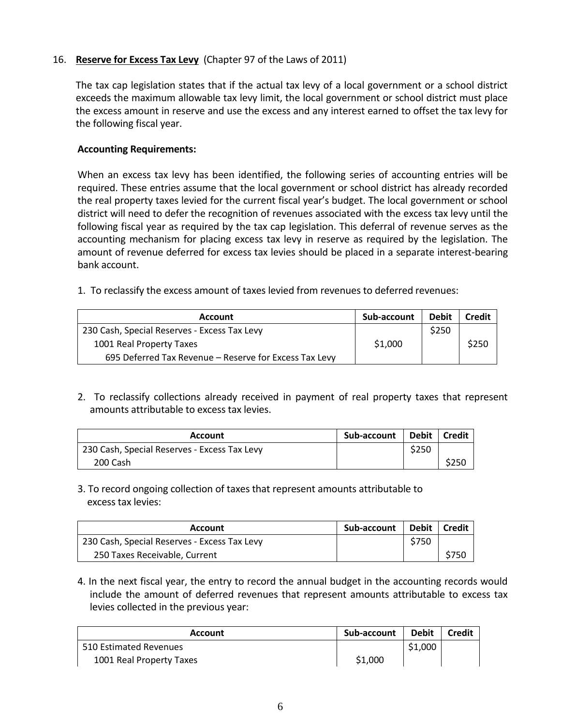# 16. **Reserve for Excess Tax Levy** (Chapter 97 of the Laws of 2011)

The tax cap legislation states that if the actual tax levy of a local government or a school district exceeds the maximum allowable tax levy limit, the local government or school district must place the excess amount in reserve and use the excess and any interest earned to offset the tax levy for the following fiscal year.

# **Accounting Requirements:**

When an excess tax levy has been identified, the following series of accounting entries will be required. These entries assume that the local government or school district has already recorded the real property taxes levied for the current fiscal year's budget. The local government or school district will need to defer the recognition of revenues associated with the excess tax levy until the following fiscal year as required by the tax cap legislation. This deferral of revenue serves as the accounting mechanism for placing excess tax levy in reserve as required by the legislation. The amount of revenue deferred for excess tax levies should be placed in a separate interest-bearing bank account.

1. To reclassify the excess amount of taxes levied from revenues to deferred revenues:

| <b>Account</b>                                         | Sub-account | <b>Debit</b> | <b>Credit</b> |
|--------------------------------------------------------|-------------|--------------|---------------|
| 230 Cash, Special Reserves - Excess Tax Levy           |             | \$250        |               |
| 1001 Real Property Taxes                               | \$1,000     |              | \$250         |
| 695 Deferred Tax Revenue - Reserve for Excess Tax Levy |             |              |               |

2. To reclassify collections already received in payment of real property taxes that represent amounts attributable to excess tax levies.

| Account                                      | Sub-account | Debit | l Credit |
|----------------------------------------------|-------------|-------|----------|
| 230 Cash, Special Reserves - Excess Tax Levy |             | \$250 |          |
| 200 Cash                                     |             |       | \$250    |

3. To record ongoing collection of taxes that represent amounts attributable to excess tax levies:

| <b>Account</b>                               | Sub-account |       | Debit   Credit |
|----------------------------------------------|-------------|-------|----------------|
| 230 Cash, Special Reserves - Excess Tax Levy |             | \$750 |                |
| 250 Taxes Receivable, Current                |             |       | \$750          |

4. In the next fiscal year, the entry to record the annual budget in the accounting records would include the amount of deferred revenues that represent amounts attributable to excess tax levies collected in the previous year:

| Account                  | Sub-account | <b>Debit</b> | <b>Credit</b> |
|--------------------------|-------------|--------------|---------------|
| 510 Estimated Revenues   |             | \$1,000      |               |
| 1001 Real Property Taxes | \$1,000     |              |               |